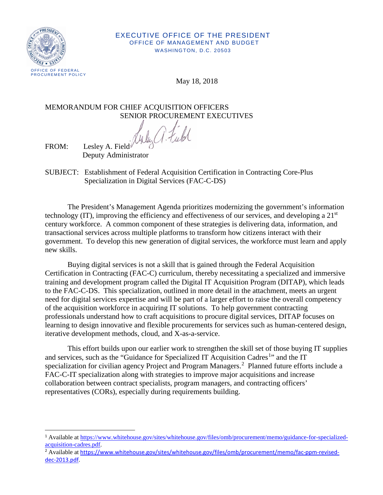

## EXECUTIVE OFFICE OF THE PRESIDENT OFFICE OF MANAGEMENT AND BUDGET WASHINGTON, D.C. 20503

May 18, 2018

## MEMORANDUM FOR CHIEF ACQUISITION OFFICERS

SENIOR PROCUREMENT EXECUTIVES

FROM: Lesley A. Field<sup> $\psi$ </sup> Deputy Administrator

SUBJECT: Establishment of Federal Acquisition Certification in Contracting Core-Plus Specialization in Digital Services (FAC-C-DS)

The President's Management Agenda prioritizes modernizing the government's information technology (IT), improving the efficiency and effectiveness of our services, and developing a 21st century workforce. A common component of these strategies is delivering data, information, and transactional services across multiple platforms to transform how citizens interact with their government. To develop this new generation of digital services, the workforce must learn and apply new skills.

Buying digital services is not a skill that is gained through the Federal Acquisition Certification in Contracting (FAC-C) curriculum, thereby necessitating a specialized and immersive training and development program called the Digital IT Acquisition Program (DITAP), which leads to the FAC-C-DS. This specialization, outlined in more detail in the attachment, meets an urgent need for digital services expertise and will be part of a larger effort to raise the overall competency of the acquisition workforce in acquiring IT solutions. To help government contracting professionals understand how to craft acquisitions to procure digital services, DITAP focuses on learning to design innovative and flexible procurements for services such as human-centered design, iterative development methods, cloud, and X-as-a-service.

This effort builds upon our earlier work to strengthen the skill set of those buying IT supplies and services, such as the "Guidance for Specialized IT Acquisition Cadres<sup>[1](#page-0-0)</sup>" and the IT specialization for civilian agency Project and Program Managers.<sup>[2](#page-0-1)</sup> Planned future efforts include a FAC-C-IT specialization along with strategies to improve major acquisitions and increase collaboration between contract specialists, program managers, and contracting officers' representatives (CORs), especially during requirements building.

<span id="page-0-0"></span><sup>1</sup> Available a[t https://www.whitehouse.gov/sites/whitehouse.gov/files/omb/procurement/memo/guidance-for-specialized](https://www.whitehouse.gov/sites/whitehouse.gov/files/omb/procurement/memo/guidance-for-specialized-acquisition-cadres.pdf)[acquisition-cadres.pdf.](https://www.whitehouse.gov/sites/whitehouse.gov/files/omb/procurement/memo/guidance-for-specialized-acquisition-cadres.pdf) 

<span id="page-0-1"></span><sup>&</sup>lt;sup>2</sup> Available at [https://www.whitehouse.gov/sites/whitehouse.gov/files/omb/procurement/memo/fac-ppm-revised](https://www.whitehouse.gov/sites/whitehouse.gov/files/omb/procurement/memo/fac-ppm-revised-dec-2013.pdf)[dec-2013.pdf.](https://www.whitehouse.gov/sites/whitehouse.gov/files/omb/procurement/memo/fac-ppm-revised-dec-2013.pdf)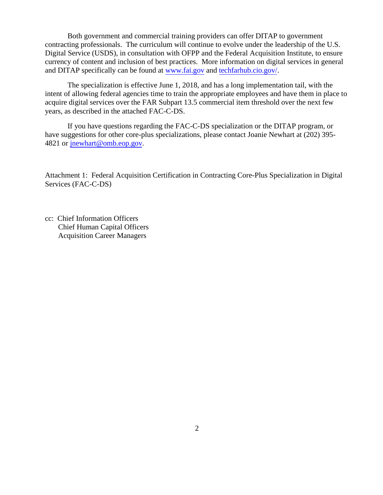Both government and commercial training providers can offer DITAP to government contracting professionals. The curriculum will continue to evolve under the leadership of the U.S. Digital Service (USDS), in consultation with OFPP and the Federal Acquisition Institute, to ensure currency of content and inclusion of best practices. More information on digital services in general and DITAP specifically can be found [at www.fai.g](http://www.fai.gov/)ov [and techfarhub.cio.g](http://techfarhub.cio.gov/)ov/.

The specialization is effective June 1, 2018, and has a long implementation tail, with the intent of allowing federal agencies time to train the appropriate employees and have them in place to acquire digital services over the FAR Subpart 13.5 commercial item threshold over the next few years, as described in the attached FAC-C-DS.

If you have questions regarding the FAC-C-DS specialization or the DITAP program, or have suggestions for other core-plus specializations, please contact Joanie Newhart at (202) 395- 4821 or [jnewhart@omb.eop.gov.](mailto:jnewhart@omb.eop.gov)

Attachment 1: Federal Acquisition Certification in Contracting Core-Plus Specialization in Digital Services (FAC-C-DS)

cc: Chief Information Officers Chief Human Capital Officers Acquisition Career Managers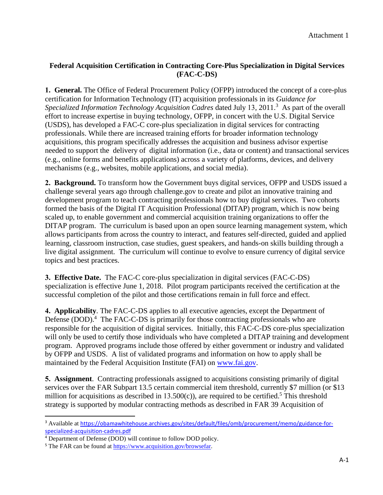## **Federal Acquisition Certification in Contracting Core-Plus Specialization in Digital Services (FAC-C-DS)**

**1. General.** The Office of Federal Procurement Policy (OFPP) introduced the concept of a core-plus certification for Information Technology (IT) acquisition professionals in its *Guidance for Specialized Information Technology Acquisition Cadres dated July 13, 2011.*<sup>3</sup> As part of the overall effort to increase expertise in buying technology, OFPP, in concert with the U.S. Digital Service (USDS), has developed a FAC-C core-plus specialization in digital services for contracting professionals. While there are increased training efforts for broader information technology acquisitions, this program specifically addresses the acquisition and business advisor expertise needed to support the delivery of digital information (i.e., data or content) and transactional services (e.g., online forms and benefits applications) across a variety of platforms, devices, and delivery mechanisms (e.g., websites, mobile applications, and social media).

**2. Background.** To transform how the Government buys digital services, OFPP and USDS issued a challenge several years ago through challenge.gov to create and pilot an innovative training and development program to teach contracting professionals how to buy digital services. Two cohorts formed the basis of the Digital IT Acquisition Professional (DITAP) program, which is now being scaled up, to enable government and commercial acquisition training organizations to offer the DITAP program. The curriculum is based upon an open source learning management system, which allows participants from across the country to interact, and features self-directed, guided and applied learning, classroom instruction, case studies, guest speakers, and hands-on skills building through a live digital assignment. The curriculum will continue to evolve to ensure currency of digital service topics and best practices.

**3. Effective Date.** The FAC-C core-plus specialization in digital services (FAC-C-DS) specialization is effective June 1, 2018. Pilot program participants received the certification at the successful completion of the pilot and those certifications remain in full force and effect.

**4. Applicability**. The FAC-C-DS applies to all executive agencies, except the Department of Defense (DOD).<sup>4</sup> The FAC-C-DS is primarily for those contracting professionals who are responsible for the acquisition of digital services. Initially, this FAC-C-DS core-plus specialization will only be used to certify those individuals who have completed a DITAP training and development program. Approved programs include those offered by either government or industry and validated by OFPP and USDS. A list of validated programs and information on how to apply shall be maintained by the Federal Acquisition Institute (FAI) on www.f[ai.gov.](https://teams.omb.gov/team/CATS/Final%20Packaging%20Review%20Work%20Area/FAC-C-DS/www.fai.gov) 

**5. Assignment**. Contracting professionals assigned to acquisitions consisting primarily of digital services over the FAR Subpart 13.5 certain commercial item threshold, currently \$7 million (or \$13) million for acquisitions as described in  $13.500(c)$  $13.500(c)$  $13.500(c)$ , are required to be certified.<sup>5</sup> This threshold strategy is supported by modular contracting methods as described in FAR 39 Acquisition of

<span id="page-2-0"></span><sup>&</sup>lt;sup>3</sup> Available at [https://obamawhitehouse.archives.gov/sites/default/files/omb/procurement/memo/guidance-for](https://obamawhitehouse.archives.gov/sites/default/files/omb/procurement/memo/guidance-for-specialized-acquisition-cadres.pdf)specialized-acquisition-cadres.pdf<br><sup>4</sup> Department of Defense (DOD) will continue to follow DOD policy.

<span id="page-2-1"></span>

<span id="page-2-2"></span><sup>&</sup>lt;sup>5</sup> The FAR can be found at<https://www.acquisition.gov/browsefar>.